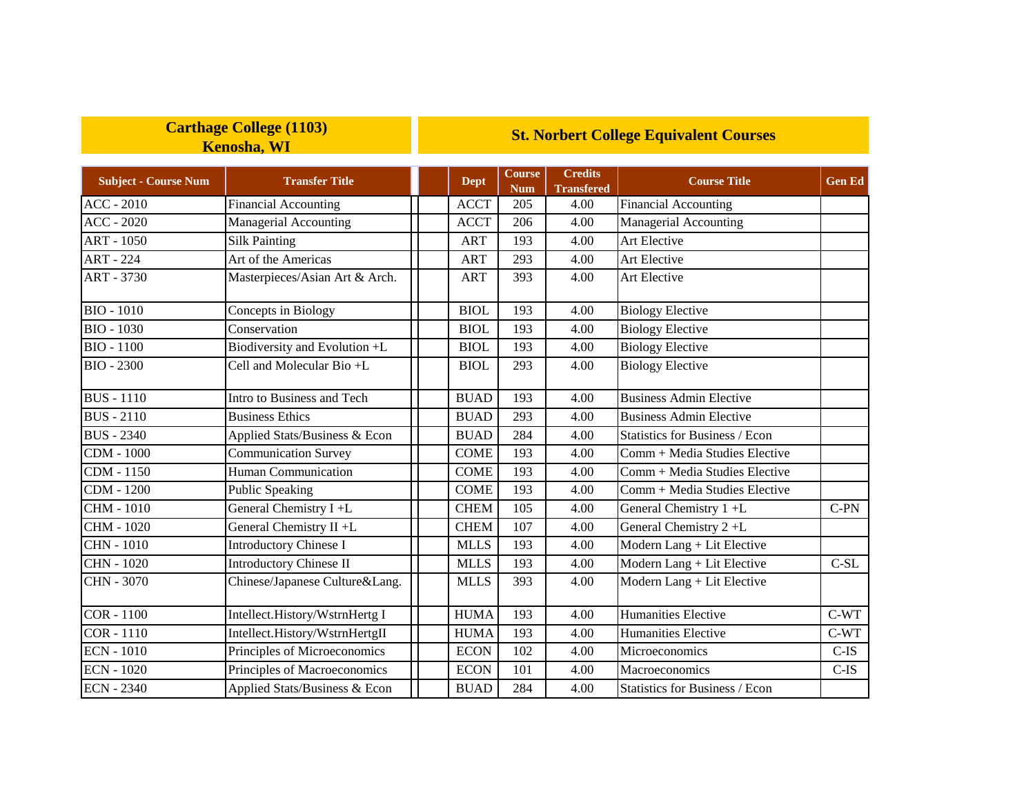## **Carthage College (1103) Kenosha, WI**

## **St. Norbert College Equivalent Courses**

| <b>Subject - Course Num</b> | <b>Transfer Title</b>          | Dept        | <b>Course</b><br><b>Num</b> | <b>Credits</b><br><b>Transfered</b> | <b>Course Title</b>                   | <b>Gen Ed</b> |
|-----------------------------|--------------------------------|-------------|-----------------------------|-------------------------------------|---------------------------------------|---------------|
| <b>ACC - 2010</b>           | <b>Financial Accounting</b>    | <b>ACCT</b> | 205                         | 4.00                                | <b>Financial Accounting</b>           |               |
| $ACC - 2020$                | Managerial Accounting          | <b>ACCT</b> | 206                         | 4.00                                | <b>Managerial Accounting</b>          |               |
| <b>ART - 1050</b>           | <b>Silk Painting</b>           | <b>ART</b>  | 193                         | 4.00                                | <b>Art Elective</b>                   |               |
| <b>ART - 224</b>            | Art of the Americas            | <b>ART</b>  | 293                         | 4.00                                | Art Elective                          |               |
| ART - 3730                  | Masterpieces/Asian Art & Arch. | <b>ART</b>  | 393                         | 4.00                                | Art Elective                          |               |
| <b>BIO - 1010</b>           | Concepts in Biology            | <b>BIOL</b> | 193                         | 4.00                                | <b>Biology Elective</b>               |               |
| <b>BIO - 1030</b>           | Conservation                   | <b>BIOL</b> | 193                         | 4.00                                | <b>Biology Elective</b>               |               |
| <b>BIO - 1100</b>           | Biodiversity and Evolution +L  | <b>BIOL</b> | 193                         | 4.00                                | <b>Biology Elective</b>               |               |
| <b>BIO - 2300</b>           | Cell and Molecular Bio +L      | <b>BIOL</b> | 293                         | 4.00                                | <b>Biology Elective</b>               |               |
| <b>BUS</b> - 1110           | Intro to Business and Tech     | <b>BUAD</b> | 193                         | 4.00                                | <b>Business Admin Elective</b>        |               |
| <b>BUS</b> - 2110           | <b>Business Ethics</b>         | <b>BUAD</b> | 293                         | 4.00                                | <b>Business Admin Elective</b>        |               |
| <b>BUS</b> - 2340           | Applied Stats/Business & Econ  | <b>BUAD</b> | 284                         | 4.00                                | <b>Statistics for Business / Econ</b> |               |
| <b>CDM</b> - 1000           | <b>Communication Survey</b>    | <b>COME</b> | 193                         | 4.00                                | Comm + Media Studies Elective         |               |
| CDM - 1150                  | Human Communication            | <b>COME</b> | 193                         | 4.00                                | Comm + Media Studies Elective         |               |
| <b>CDM</b> - 1200           | <b>Public Speaking</b>         | <b>COME</b> | 193                         | 4.00                                | Comm + Media Studies Elective         |               |
| <b>CHM - 1010</b>           | General Chemistry $I + L$      | <b>CHEM</b> | 105                         | 4.00                                | General Chemistry 1 +L                | $C-PN$        |
| <b>CHM - 1020</b>           | General Chemistry II +L        | <b>CHEM</b> | 107                         | 4.00                                | General Chemistry 2+L                 |               |
| <b>CHN - 1010</b>           | <b>Introductory Chinese I</b>  | <b>MLLS</b> | 193                         | 4.00                                | Modern Lang + Lit Elective            |               |
| <b>CHN - 1020</b>           | <b>Introductory Chinese II</b> | <b>MLLS</b> | 193                         | 4.00                                | Modern Lang + Lit Elective            | $C-SL$        |
| <b>CHN - 3070</b>           | Chinese/Japanese Culture&Lang. | <b>MLLS</b> | 393                         | 4.00                                | Modern Lang + Lit Elective            |               |
| <b>COR - 1100</b>           | Intellect.History/WstrnHertg I | <b>HUMA</b> | 193                         | 4.00                                | Humanities Elective                   | $C-WT$        |
| $COR - 1110$                | Intellect.History/WstrnHertgII | <b>HUMA</b> | 193                         | 4.00                                | Humanities Elective                   | $C-WT$        |
| <b>ECN</b> - 1010           | Principles of Microeconomics   | <b>ECON</b> | 102                         | 4.00                                | Microeconomics                        | $C-IS$        |
| <b>ECN - 1020</b>           | Principles of Macroeconomics   | <b>ECON</b> | 101                         | 4.00                                | Macroeconomics                        | $C-IS$        |
| <b>ECN - 2340</b>           | Applied Stats/Business & Econ  | <b>BUAD</b> | 284                         | 4.00                                | <b>Statistics for Business / Econ</b> |               |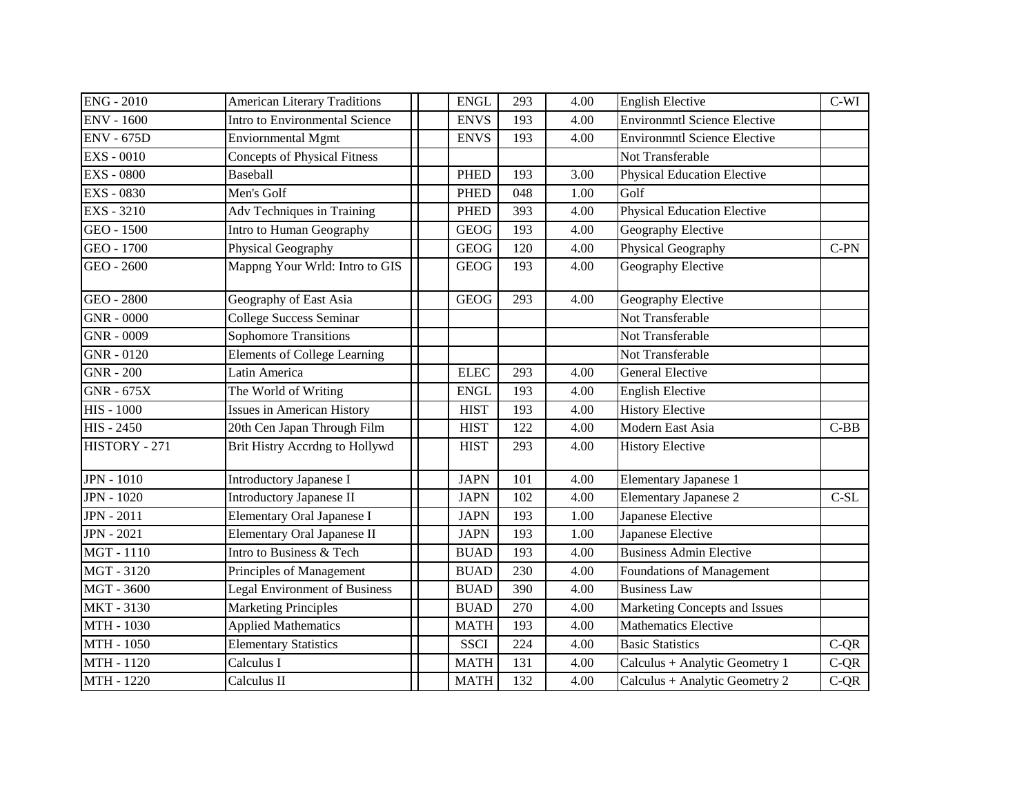| <b>ENG - 2010</b> | <b>American Literary Traditions</b>  | <b>ENGL</b> | 293 | 4.00 | <b>English Elective</b>             | $C-WI$ |
|-------------------|--------------------------------------|-------------|-----|------|-------------------------------------|--------|
| <b>ENV - 1600</b> | Intro to Environmental Science       | <b>ENVS</b> | 193 | 4.00 | <b>Environmntl Science Elective</b> |        |
| <b>ENV - 675D</b> | <b>Enviornmental Mgmt</b>            | <b>ENVS</b> | 193 | 4.00 | <b>Environmntl Science Elective</b> |        |
| <b>EXS - 0010</b> | <b>Concepts of Physical Fitness</b>  |             |     |      | Not Transferable                    |        |
| <b>EXS - 0800</b> | <b>Baseball</b>                      | <b>PHED</b> | 193 | 3.00 | <b>Physical Education Elective</b>  |        |
| <b>EXS - 0830</b> | Men's Golf                           | <b>PHED</b> | 048 | 1.00 | Golf                                |        |
| <b>EXS - 3210</b> | Adv Techniques in Training           | <b>PHED</b> | 393 | 4.00 | <b>Physical Education Elective</b>  |        |
| GEO - 1500        | Intro to Human Geography             | <b>GEOG</b> | 193 | 4.00 | Geography Elective                  |        |
| GEO - 1700        | Physical Geography                   | <b>GEOG</b> | 120 | 4.00 | Physical Geography                  | $C-PN$ |
| GEO - 2600        | Mappng Your Wrld: Intro to GIS       | <b>GEOG</b> | 193 | 4.00 | Geography Elective                  |        |
| GEO - 2800        | Geography of East Asia               | <b>GEOG</b> | 293 | 4.00 | Geography Elective                  |        |
| <b>GNR - 0000</b> | College Success Seminar              |             |     |      | Not Transferable                    |        |
| GNR - 0009        | <b>Sophomore Transitions</b>         |             |     |      | Not Transferable                    |        |
| GNR - 0120        | <b>Elements of College Learning</b>  |             |     |      | Not Transferable                    |        |
| $GNR - 200$       | Latin America                        | <b>ELEC</b> | 293 | 4.00 | <b>General Elective</b>             |        |
| <b>GNR - 675X</b> | The World of Writing                 | <b>ENGL</b> | 193 | 4.00 | <b>English Elective</b>             |        |
| <b>HIS - 1000</b> | <b>Issues in American History</b>    | <b>HIST</b> | 193 | 4.00 | <b>History Elective</b>             |        |
| $HIS - 2450$      | 20th Cen Japan Through Film          | <b>HIST</b> | 122 | 4.00 | Modern East Asia                    | $C-BB$ |
| HISTORY - 271     | Brit Histry Accrdng to Hollywd       | <b>HIST</b> | 293 | 4.00 | <b>History Elective</b>             |        |
| <b>JPN</b> - 1010 | <b>Introductory Japanese I</b>       | <b>JAPN</b> | 101 | 4.00 | Elementary Japanese 1               |        |
| <b>JPN</b> - 1020 | <b>Introductory Japanese II</b>      | <b>JAPN</b> | 102 | 4.00 | <b>Elementary Japanese 2</b>        | $C-SL$ |
| <b>JPN</b> - 2011 | Elementary Oral Japanese I           | <b>JAPN</b> | 193 | 1.00 | Japanese Elective                   |        |
| <b>JPN</b> - 2021 | Elementary Oral Japanese II          | <b>JAPN</b> | 193 | 1.00 | Japanese Elective                   |        |
| MGT-1110          | Intro to Business & Tech             | <b>BUAD</b> | 193 | 4.00 | <b>Business Admin Elective</b>      |        |
| MGT - 3120        | Principles of Management             | <b>BUAD</b> | 230 | 4.00 | Foundations of Management           |        |
| <b>MGT - 3600</b> | <b>Legal Environment of Business</b> | <b>BUAD</b> | 390 | 4.00 | <b>Business Law</b>                 |        |
| <b>MKT-3130</b>   | <b>Marketing Principles</b>          | <b>BUAD</b> | 270 | 4.00 | Marketing Concepts and Issues       |        |
| MTH - 1030        | <b>Applied Mathematics</b>           | <b>MATH</b> | 193 | 4.00 | <b>Mathematics Elective</b>         |        |
| MTH - 1050        | <b>Elementary Statistics</b>         | <b>SSCI</b> | 224 | 4.00 | <b>Basic Statistics</b>             | $C-QR$ |
| MTH - 1120        | Calculus I                           | <b>MATH</b> | 131 | 4.00 | Calculus + Analytic Geometry 1      | $C-QR$ |
| MTH - 1220        | Calculus II                          | <b>MATH</b> | 132 | 4.00 | Calculus + Analytic Geometry 2      | $C-QR$ |